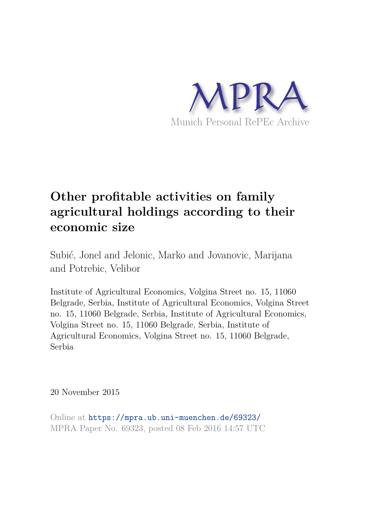

# **Other profitable activities on family agricultural holdings according to their economic size**

Subić, Jonel and Jelonic, Marko and Jovanovic, Marijana and Potrebic, Velibor

Institute of Agricultural Economics, Volgina Street no. 15, 11060 Belgrade, Serbia, Institute of Agricultural Economics, Volgina Street no. 15, 11060 Belgrade, Serbia, Institute of Agricultural Economics, Volgina Street no. 15, 11060 Belgrade, Serbia, Institute of Agricultural Economics, Volgina Street no. 15, 11060 Belgrade, Serbia

20 November 2015

Online at https://mpra.ub.uni-muenchen.de/69323/ MPRA Paper No. 69323, posted 08 Feb 2016 14:57 UTC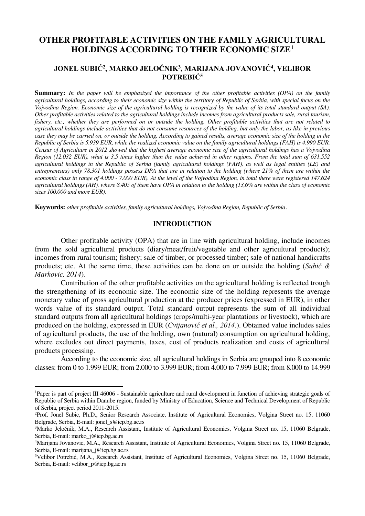# **OTHER PROFITABLE ACTIVITIES ON THE FAMILY AGRICULTURAL HOLDINGS ACCORDING TO THEIR ECONOMIC SIZE<sup>1</sup>**

# **JONEL SUBIĆ<sup>2</sup> , MARKO JELOČNIK<sup>3</sup> , MARIJANA JOVANOVIĆ<sup>4</sup> , VELIBOR POTREBIĆ<sup>5</sup>**

**Summary:** *In the paper will be emphasized the importance of the other profitable activities (OPA) on the family agricultural holdings, according to their economic size within the territory of Republic of Serbia, with special focus on the Vojvodina Region. Economic size of the agricultural holding is recognized by the value of its total standard output (SA). Other profitable activities related to the agricultural holdings include incomes from agricultural products sale, rural tourism, fishery, etc., whether they are performed on or outside the holding. Other profitable activities that are not related to agricultural holdings include activities that do not consume resources of the holding, but only the labor, as like in previous case they may be carried on, or outside the holding. According to gained results, average economic size of the holding in the Republic of Serbia is 5.939 EUR, while the realized economic value on the family agricultural holdings (FAH) is 4.990 EUR. Census of Agriculture in 2012 showed that the highest average economic size of the agricultural holdings has a Vojvodina Region (12.032 EUR), what is 3,5 times higher than the value achieved in other regions. From the total sum of 631.552 agricultural holdings in the Republic of Serbia (family agricultural holdings (FAH), as well as legal entities (LE) and entrepreneurs) only 78.301 holdings possess DPA that are in relation to the holding (where 21% of them are within the economic class in range of 4.000 - 7.000 EUR). At the level of the Vojvodina Region, in total there were registered 147.624 agricultural holdings (AH), where 8.405 of them have OPA in relation to the holding (13,6% are within the class of economic sizes 100.000 and more EUR).* 

**Keywords:** *other profitable activities, family agricultural holdings, Vojvodina Region, Republic of Serbia*.

#### **INTRODUCTION**

Other profitable activity (OPA) that are in line with agricultural holding, include incomes from the sold agricultural products (diary/meat/fruit/vegetable and other agricultural products); incomes from rural tourism; fishery; sale of timber, or processed timber; sale of national handicrafts products; etc. At the same time, these activities can be done on or outside the holding (*Subić & Markovic, 2014*).

Contribution of the other profitable activities on the agricultural holding is reflected trough the strengthening of its economic size. The economic size of the holding represents the average monetary value of gross agricultural production at the producer prices (expressed in EUR), in other words value of its standard output. Total standard output represents the sum of all individual standard outputs from all agricultural holdings (crops/multi-year plantations or livestock), which are produced on the holding, expressed in EUR (*Cvijanović et al., 2014.*). Obtained value includes sales of agricultural products, the use of the holding, own (natural) consumption on agricultural holding, where excludes out direct payments, taxes, cost of products realization and costs of agricultural products processing.

According to the economic size, all agricultural holdings in Serbia are grouped into 8 economic classes: from 0 to 1.999 EUR; from 2.000 to 3.999 EUR; from 4.000 to 7.999 EUR; from 8.000 to 14.999

 $\overline{\phantom{0}}$ 

<sup>&</sup>lt;sup>1</sup>Paper is part of project III 46006 - Sustainable agriculture and rural development in function of achieving strategic goals of Republic of Serbia within Danube region, funded by Ministry of Education, Science and Technical Development of Republic of Serbia, project period 2011-2015.

<sup>&</sup>lt;sup>2</sup>Prof. Jonel Subic, Ph.D., Senior Research Associate, Institute of Agricultural Economics, Volgina Street no. 15, 11060 Belgrade, Serbia, E-mail: jonel\_s@iep.bg.ac.rs

<sup>3</sup>Marko Jeločnik, M.A., Research Assistant, Institute of Agricultural Economics, Volgina Street no. 15, 11060 Belgrade, Serbia, E-mail: marko\_j@iep.bg.ac.rs

<sup>4</sup>Marijana Jovanovic, M.A., Research Assistant, Institute of Agricultural Economics, Volgina Street no. 15, 11060 Belgrade, Serbia, E-mail: marijana\_j@iep.bg.ac.rs

<sup>&</sup>lt;sup>5</sup>Velibor Potrebić, M.A., Research Assistant, Institute of Agricultural Economics, Volgina Street no. 15, 11060 Belgrade, Serbia, E-mail: velibor\_p@iep.bg.ac.rs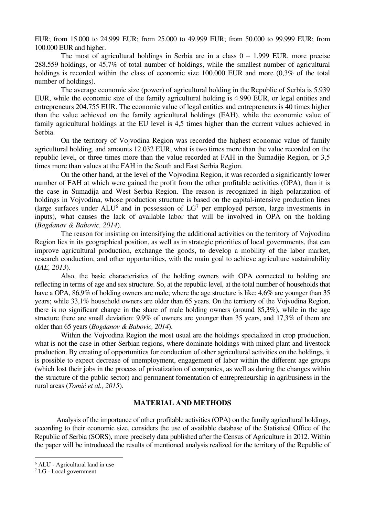EUR; from 15.000 to 24.999 EUR; from 25.000 to 49.999 EUR; from 50.000 to 99.999 EUR; from 100.000 EUR and higher.

The most of agricultural holdings in Serbia are in a class  $0 - 1.999$  EUR, more precise 288.559 holdings, or 45,7% of total number of holdings, while the smallest number of agricultural holdings is recorded within the class of economic size 100.000 EUR and more  $(0,3\%$  of the total number of holdings).

The average economic size (power) of agricultural holding in the Republic of Serbia is 5.939 EUR, while the economic size of the family agricultural holding is 4.990 EUR, or legal entities and entrepreneurs 204.755 EUR. The economic value of legal entities and entrepreneurs is 40 times higher than the value achieved on the family agricultural holdings (FAH), while the economic value of family agricultural holdings at the EU level is 4,5 times higher than the current values achieved in Serbia.

On the territory of Vojvodina Region was recorded the highest economic value of family agricultural holding, and amounts 12.032 EUR, what is two times more than the value recorded on the republic level, or three times more than the value recorded at FAH in the Šumadije Region, or 3,5 times more than values at the FAH in the South and East Serbia Region.

On the other hand, at the level of the Vojvodina Region, it was recorded a significantly lower number of FAH at which were gained the profit from the other profitable activities (OPA), than it is the case in Sumadija and West Serbia Region. The reason is recognized in high polarization of holdings in Vojvodina, whose production structure is based on the capital-intensive production lines (large surfaces under  $ALU^6$  and in possession of  $LG^7$  per employed person, large investments in inputs), what causes the lack of available labor that will be involved in OPA on the holding (*Bogdanov & Babovic, 2014*).

The reason for insisting on intensifying the additional activities on the territory of Vojvodina Region lies in its geographical position, as well as in strategic priorities of local governments, that can improve agricultural production, exchange the goods, to develop a mobility of the labor market, research conduction, and other opportunities, with the main goal to achieve agriculture sustainability (*IAE, 2013*).

Also, the basic characteristics of the holding owners with OPA connected to holding are reflecting in terms of age and sex structure. So, at the republic level, at the total number of households that have a OPA, 86,9% of holding owners are male; where the age structure is like: 4,6% are younger than 35 years; while 33,1% household owners are older than 65 years. On the territory of the Vojvodina Region, there is no significant change in the share of male holding owners (around 85,3%), while in the age structure there are small deviation: 9,9% of owners are younger than 35 years, and 17,3% of them are older than 65 years (*Bogdanov & Babovic, 2014*).

Within the Vojvodina Region the most usual are the holdings specialized in crop production, what is not the case in other Serbian regions, where dominate holdings with mixed plant and livestock production. By creating of opportunities for conduction of other agricultural activities on the holdings, it is possible to expect decrease of unemployment, engagement of labor within the different age groups (which lost their jobs in the process of privatization of companies, as well as during the changes within the structure of the public sector) and permanent fomentation of entrepreneurship in agribusiness in the rural areas (*Tomić et al., 2015*).

#### **MATERIAL AND METHODS**

 Analysis of the importance of other profitable activities (OPA) on the family agricultural holdings, according to their economic size, considers the use of available database of the Statistical Office of the Republic of Serbia (SORS), more precisely data published after the Census of Agriculture in 2012. Within the paper will be introduced the results of mentioned analysis realized for the territory of the Republic of

ı

<sup>&</sup>lt;sup>6</sup> ALU - Agricultural land in use

<sup>7</sup> LG - Local government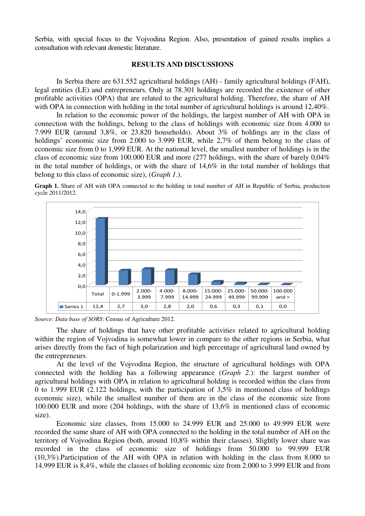Serbia, with special focus to the Vojvodina Region. Also, presentation of gained results implies a consultation with relevant domestic literature.

# **RESULTS AND DISCUSSIONS**

 In Serbia there are 631.552 agricultural holdings (AH) - family agricultural holdings (FAH), legal entities (LE) and entrepreneurs. Only at 78.301 holdings are recorded the existence of other profitable activities (OPA) that are related to the agricultural holding. Therefore, the share of AH with OPA in connection with holding in the total number of agricultural holdings is around 12.40%.

 In relation to the economic power of the holdings, the largest number of AH with OPA in connection with the holdings, belong to the class of holdings with economic size from 4.000 to 7.999 EUR (around 3,8%, or 23.820 households). About 3% of holdings are in the class of holdings' economic size from 2.000 to 3.999 EUR, while 2,7% of them belong to the class of economic size from 0 to 1,999 EUR. At the national level, the smallest number of holdings is in the class of economic size from 100.000 EUR and more (277 holdings, with the share of barely 0,04% in the total number of holdings, or with the share of 14,6% in the total number of holdings that belong to this class of economic size), (*Graph 1.*).

**Graph 1.** Share of AH with OPA connected to the holding in total number of AH in Republic of Serbia, production cycle 2011/2012.





 The share of holdings that have other profitable activities related to agricultural holding within the region of Vojvodina is somewhat lower in compare to the other regions in Serbia, what arises directly from the fact of high polarization and high percentage of agricultural land owned by the entrepreneurs.

 At the level of the Vojvodina Region, the structure of agricultural holdings with OPA connected with the holding has a following appearance (*Graph 2.*): the largest number of agricultural holdings with OPA in relation to agricultural holding is recorded within the class from 0 to 1.999 EUR (2.122 holdings, with the participation of 3,5% in mentioned class of holdings economic size), while the smallest number of them are in the class of the economic size from 100.000 EUR and more (204 holdings, with the share of 13,6% in mentioned class of economic size).

 Economic size classes, from 15.000 to 24.999 EUR and 25.000 to 49.999 EUR were recorded the same share of AH with OPA connected to the holding in the total number of AH on the territory of Vojvodina Region (both, around 10,8% within their classes). Slightly lower share was recorded in the class of economic size of holdings from 50.000 to 99.999 EUR (10,3%).Participation of the AH with OPA in relation with holding in the class from 8.000 to 14.999 EUR is 8,4%, while the classes of holding economic size from 2.000 to 3.999 EUR and from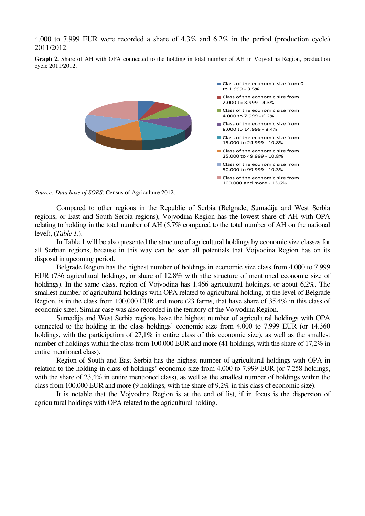4.000 to 7.999 EUR were recorded a share of 4,3% and 6,2% in the period (production cycle) 2011/2012.

**Graph 2.** Share of AH with OPA connected to the holding in total number of AH in Vojvodina Region, production cycle 2011/2012.



*Source: Data base of SORS*: Census of Agriculture 2012.

 Compared to other regions in the Republic of Serbia (Belgrade, Sumadija and West Serbia regions, or East and South Serbia regions), Vojvodina Region has the lowest share of AH with OPA relating to holding in the total number of AH (5,7% compared to the total number of AH on the national level), (*Table 1*.).

 In Table 1 will be also presented the structure of agricultural holdings by economic size classes for all Serbian regions, because in this way can be seen all potentials that Vojvodina Region has on its disposal in upcoming period.

 Belgrade Region has the highest number of holdings in economic size class from 4.000 to 7.999 EUR (736 agricultural holdings, or share of 12,8% withinthe structure of mentioned economic size of holdings). In the same class, region of Vojvodina has 1.466 agricultural holdings, or about 6,2%. The smallest number of agricultural holdings with OPA related to agricultural holding, at the level of Belgrade Region, is in the class from 100.000 EUR and more (23 farms, that have share of 35,4% in this class of economic size). Similar case was also recorded in the territory of the Vojvodina Region.

 Sumadija and West Serbia regions have the highest number of agricultural holdings with OPA connected to the holding in the class holdings' economic size from 4.000 to 7.999 EUR (or 14.360 holdings, with the participation of 27,1% in entire class of this economic size), as well as the smallest number of holdings within the class from 100.000 EUR and more (41 holdings, with the share of 17,2% in entire mentioned class).

 Region of South and East Serbia has the highest number of agricultural holdings with OPA in relation to the holding in class of holdings' economic size from 4.000 to 7.999 EUR (or 7.258 holdings, with the share of 23,4% in entire mentioned class), as well as the smallest number of holdings within the class from 100.000 EUR and more (9 holdings, with the share of 9,2% in this class of economic size).

 It is notable that the Vojvodina Region is at the end of list, if in focus is the dispersion of agricultural holdings with OPA related to the agricultural holding.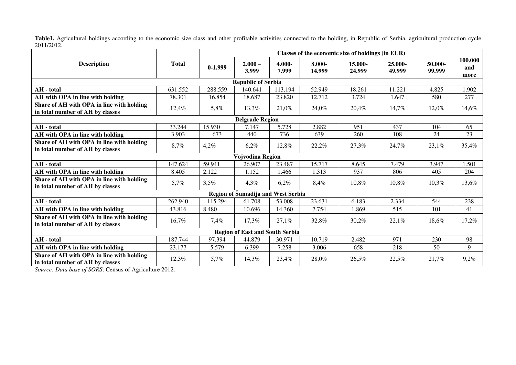Table1. Agricultural holdings according to the economic size class and other profitable activities connected to the holding, in Republic of Serbia, agricultural production cycle 2011/2012.

|                                                                               | <b>Total</b> | Classes of the economic size of holdings (in EUR) |                    |                 |                  |                   |                      |                   |                        |
|-------------------------------------------------------------------------------|--------------|---------------------------------------------------|--------------------|-----------------|------------------|-------------------|----------------------|-------------------|------------------------|
| <b>Description</b>                                                            |              | $0-1.999$                                         | $2.000 -$<br>3.999 | 4.000-<br>7.999 | 8.000-<br>14.999 | 15.000-<br>24.999 | $25.000 -$<br>49.999 | 50.000-<br>99.999 | 100.000<br>and<br>more |
| <b>Republic of Serbia</b>                                                     |              |                                                   |                    |                 |                  |                   |                      |                   |                        |
| AH - total                                                                    | 631.552      | 288.559                                           | 140.641            | 113.194         | 52.949           | 18.261            | 11.221               | 4.825             | 1.902                  |
| AH with OPA in line with holding                                              | 78.301       | 16.854                                            | 18.687             | 23.820          | 12.712           | 3.724             | 1.647                | 580               | 277                    |
| Share of AH with OPA in line with holding<br>in total number of AH by classes | 12,4%        | 5,8%                                              | 13,3%              | 21,0%           | 24.0%            | 20,4%             | 14,7%                | 12,0%             | 14,6%                  |
| <b>Belgrade Region</b>                                                        |              |                                                   |                    |                 |                  |                   |                      |                   |                        |
| AH - total                                                                    | 33.244       | 15.930                                            | 7.147              | 5.728           | 2.882            | 951               | 437                  | 104               | 65                     |
| AH with OPA in line with holding                                              | 3.903        | 673                                               | 440                | 736             | 639              | 260               | 108                  | 24                | 23                     |
| Share of AH with OPA in line with holding<br>in total number of AH by classes | 8,7%         | 4,2%                                              | 6,2%               | 12,8%           | 22,2%            | 27,3%             | 24,7%                | 23,1%             | 35,4%                  |
| Vojvodina Region                                                              |              |                                                   |                    |                 |                  |                   |                      |                   |                        |
| AH - total                                                                    | 147.624      | 59.941                                            | 26.907             | 23.487          | 15.717           | 8.645             | 7.479                | 3.947             | 1.501                  |
| AH with OPA in line with holding                                              | 8.405        | 2.122                                             | 1.152              | 1.466           | 1.313            | 937               | 806                  | 405               | 204                    |
| Share of AH with OPA in line with holding<br>in total number of AH by classes | 5,7%         | 3,5%                                              | 4,3%               | 6,2%            | 8,4%             | 10,8%             | 10,8%                | 10,3%             | 13,6%                  |
| Region of Šumadija and West Serbia                                            |              |                                                   |                    |                 |                  |                   |                      |                   |                        |
| AH - total                                                                    | 262.940      | 115.294                                           | 61.708             | 53.008          | 23.631           | 6.183             | 2.334                | 544               | 238                    |
| AH with OPA in line with holding                                              | 43.816       | 8.480                                             | 10.696             | 14.360          | 7.754            | 1.869             | 515                  | 101               | 41                     |
| Share of AH with OPA in line with holding<br>in total number of AH by classes | 16,7%        | 7,4%                                              | 17,3%              | 27,1%           | 32,8%            | 30,2%             | 22,1%                | 18,6%             | 17,2%                  |
| <b>Region of East and South Serbia</b>                                        |              |                                                   |                    |                 |                  |                   |                      |                   |                        |
| AH - total                                                                    | 187.744      | 97.394                                            | 44.879             | 30.971          | 10.719           | 2.482             | 971                  | 230               | 98                     |
| AH with OPA in line with holding                                              | 23.177       | 5.579                                             | 6.399              | 7.258           | 3.006            | 658               | 218                  | 50                | 9                      |
| Share of AH with OPA in line with holding<br>in total number of AH by classes | 12,3%        | 5,7%                                              | 14,3%              | 23,4%           | 28,0%            | 26,5%             | 22,5%                | 21,7%             | 9,2%                   |

*Source: Data base of SORS*: Census of Agriculture 2012.